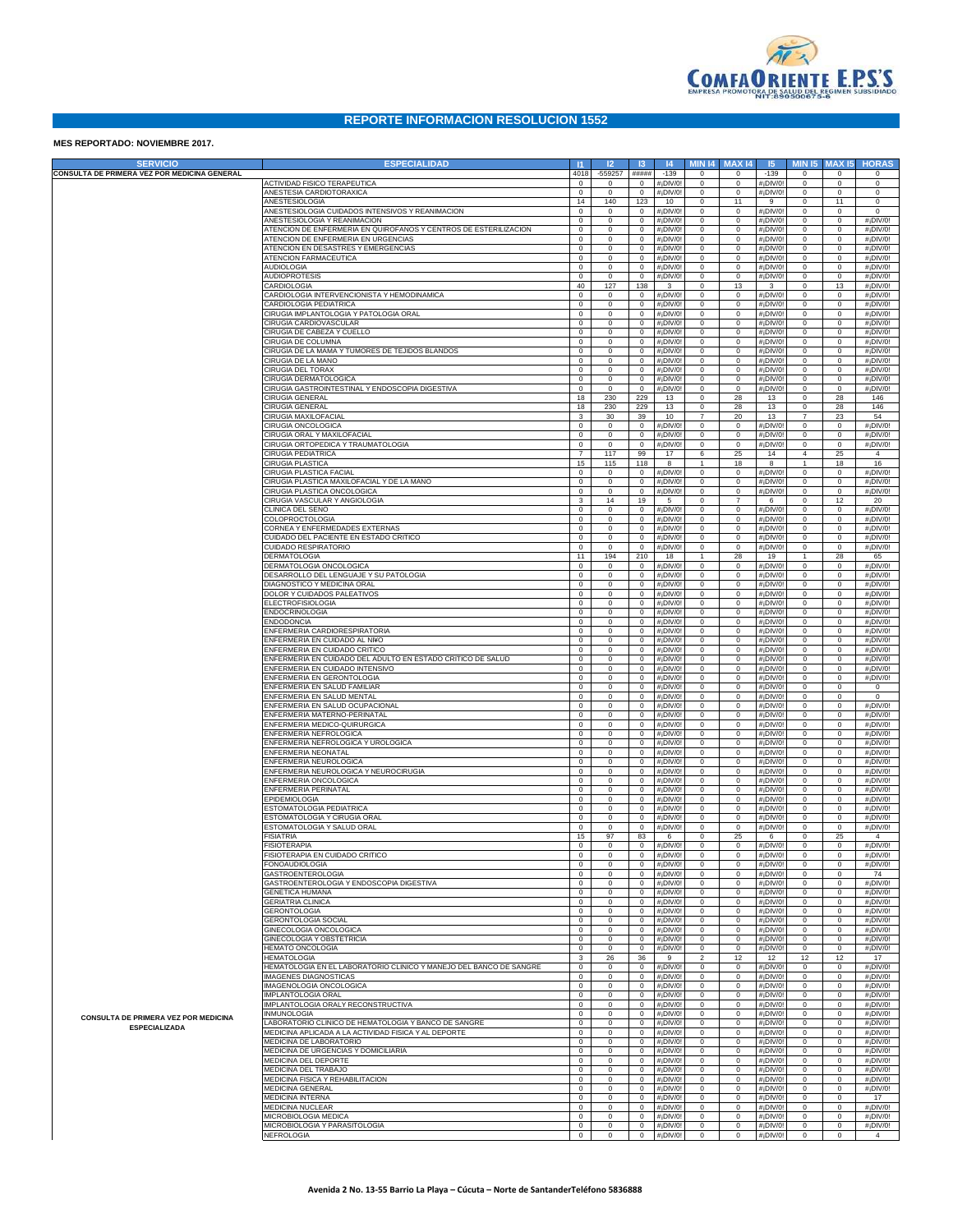

## **REPORTE INFORMACION RESOLUCION 1552**

## **MES REPORTADO: NOVIEMBRE 2017.**

| <b>SERVICIO</b>                                                     | <b>ESPECIALIDAD</b>                                                             | $\vert$ 11                  | 12                         | $\mathsf{13}$              | 4                       | <b>MIN 14</b>                 | <b>MAX 14</b>                 | 15                                                | <b>MIN 15</b>                 | <b>MAX15</b>               | <b>HORAS</b>                                       |
|---------------------------------------------------------------------|---------------------------------------------------------------------------------|-----------------------------|----------------------------|----------------------------|-------------------------|-------------------------------|-------------------------------|---------------------------------------------------|-------------------------------|----------------------------|----------------------------------------------------|
| CONSULTA DE PRIMERA VEZ POR MEDICINA GENERAL                        | <b>ACTIVIDAD FISICO TERAPEUTICA</b>                                             | 4018<br>$\mathsf 0$         | $-559257$<br>0             | #####<br>$\mathbf 0$       | $-139$<br>#¡DIV/0       | $\mathsf 0$<br>$\mathsf 0$    | $\mathbf 0$<br>$\mathsf 0$    | $-139$<br>$#$ <sub>i</sub> DIV/0                  | $^{\circ}$<br>$\mathsf 0$     | $\mathbf 0$<br>$\mathbf 0$ | 0<br>$\mathbf 0$                                   |
|                                                                     | ANESTESIA CARDIOTORAXICA                                                        | $\mathsf 0$                 | $\mathbf 0$                | $\mathbf 0$                | #¡DIV/0                 | $\mathsf 0$                   | $\mathsf 0$                   | $#$ <sub>i</sub> DIV/0                            | $\mathsf 0$                   | $\mathbf 0$                | $\mathbf 0$                                        |
|                                                                     | ANESTESIOLOGIA<br>ANESTESIOLOGIA CUIDADOS INTENSIVOS Y REANIMACION              | 14<br>$\mathsf 0$           | 140<br>$\mathbf 0$         | 123<br>$\mathbf 0$         | 10<br>#¡DIV/0           | $\mathsf 0$<br>$\mathsf 0$    | 11<br>$\mathbf 0$             | 9                                                 | $\mathsf 0$<br>$\mathsf 0$    | 11<br>$\mathbf 0$          | $\mathbf 0$<br>$\mathbf 0$                         |
|                                                                     | ANESTESIOLOGIA Y REANIMACION                                                    | $\mathsf 0$                 | $\mathbf 0$                | $\mathbf 0$                | #¡DIV/0                 | $\mathsf 0$                   | $\mathsf 0$                   | $#$ <sub>i</sub> DIV/0<br>$#$ <sub>i</sub> DIV/0  | $\mathsf 0$                   | $\mathbf 0$                | $#$ <sub>i</sub> DIV/0!                            |
|                                                                     | ATENCION DE ENFERMERIA EN QUIROFANOS Y CENTROS DE ESTERILIZACION                | $\mathsf 0$                 | $\mathbf 0$                | $\mathbf 0$                | #¡DIV/0                 | $\mathsf 0$                   | $\mathsf 0$                   | #¡DIV/0                                           | $\mathsf 0$                   | $\mathbf 0$                | $#$ <sub>i</sub> DIV/0!                            |
|                                                                     | ATENCION DE ENFERMERIA EN URGENCIAS<br>ATENCION EN DESASTRES Y EMERGENCIAS      | $\mathsf 0$<br>$\mathsf 0$  | 0<br>$\mathbf 0$           | $\mathbf 0$<br>$\mathbf 0$ | #¡DIV/0<br>#¡DIV/0      | $\mathsf 0$<br>$\mathsf 0$    | $\mathsf 0$<br>$\mathsf 0$    | #¡DIV/0<br>#¡DIV/0                                | $\mathsf 0$<br>$\mathsf 0$    | $\mathbf 0$<br>$\mathbf 0$ | $#$ <sub>i</sub> DIV/0!<br>$#$ <sub>i</sub> DIV/0! |
|                                                                     | <b>ATENCION FARMACEUTICA</b>                                                    | $\mathsf 0$                 | $\mathbf 0$                | $\mathbf 0$                | #¡DIV/0                 | $\mathsf 0$                   | $\mathbf 0$                   | #¡DIV/0                                           | $\mathsf 0$                   | $\mathbf 0$                | $#$ <sub>i</sub> DIV/0!                            |
|                                                                     | <b>AUDIOLOGIA</b><br><b>AUDIOPROTESIS</b>                                       | $\mathsf 0$<br>$\mathsf 0$  | $\mathbf 0$<br>$\mathbf 0$ | $\mathbf 0$<br>$\mathbf 0$ | #¡DIV/0<br>#¡DIV/0      | $\mathsf 0$<br>$\mathsf 0$    | $\mathbf 0$<br>$\mathbf 0$    | #¡DIV/0!<br>$#$ <sub>i</sub> DIV/0                | $\mathsf 0$<br>$\mathsf 0$    | $\mathbf 0$<br>$\mathbf 0$ | $#$ <sub>i</sub> DIV/0!<br>$#$ <sub>i</sub> DIV/0! |
|                                                                     | CARDIOLOGIA                                                                     | 40                          | 127                        | 138                        | 3                       | $\mathsf 0$                   | 13                            | 3                                                 | $\mathsf 0$                   | 13                         | $#$ <sub>i</sub> DIV/0!                            |
|                                                                     | CARDIOLOGIA INTERVENCIONISTA Y HEMODINAMICA<br>CARDIOLOGIA PEDIATRICA           | $\mathsf 0$<br>$\mathsf 0$  | 0<br>$\mathbf 0$           | $\mathbf 0$<br>$\mathbf 0$ | #¡DIV/0<br>#¡DIV/0      | $\mathsf 0$<br>$\mathsf 0$    | $\mathbf 0$<br>$\mathbf 0$    | $#$ <sub>i</sub> DIV/0<br>$#$ <sub>i</sub> DIV/0  | $\mathsf 0$<br>$\mathsf 0$    | $\mathbf 0$<br>$\mathbf 0$ | $#$ <sub>i</sub> DIV/0!<br>$#$ <sub>i</sub> DIV/0! |
|                                                                     | CIRUGIA IMPLANTOLOGIA Y PATOLOGIA ORAL                                          | $\mathsf 0$                 | $\mathbf 0$                | $\mathbf 0$                | #¡DIV/0                 | $\mathsf 0$                   | $\mathbf 0$                   | #¡DIV/0!                                          | $\mathsf 0$                   | $\mathbf 0$                | $#$ <sub>i</sub> DIV/0!                            |
|                                                                     | CIRUGIA CARDIOVASCULAR<br>CIRUGIA DE CABEZA Y CUELLO                            | $\mathsf 0$<br>$\mathsf 0$  | $\mathbf 0$<br>$\mathbf 0$ | $\mathbf 0$<br>$\mathbf 0$ | #¡DIV/0<br>#¡DIV/0      | $\mathsf 0$<br>$\mathsf 0$    | $\mathbf 0$<br>$\mathsf 0$    | #¡DIV/0!<br>#¡DIV/0                               | $\mathsf 0$<br>$\mathsf 0$    | $\mathbf 0$<br>$\mathbf 0$ | $#$ <sub>i</sub> DIV/0!<br>$#$ <sub>i</sub> DIV/0! |
|                                                                     | CIRUGIA DE COLUMNA                                                              | $\mathsf 0$                 | $\mathbf 0$                | $\mathbf 0$                | #¡DIV/0                 | $\mathsf 0$                   | $\mathsf 0$                   | #¡DIV/0                                           | $\mathsf 0$                   | $\mathbf 0$                | $#$ <sub>i</sub> DIV/0!                            |
|                                                                     | CIRUGIA DE LA MAMA Y TUMORES DE TEJIDOS BLANDOS<br>CIRUGIA DE LA MANO           | $\mathsf 0$<br>$\mathsf 0$  | $\mathbf 0$<br>$\mathbf 0$ | $\mathbf 0$<br>$\mathbf 0$ | #¡DIV/0<br>#¡DIV/0      | $\mathsf 0$<br>$\mathbf 0$    | $\mathsf 0$<br>$\mathbf 0$    | #¡DIV/0<br>#¡DIV/0                                | $\mathsf 0$<br>$\mathsf 0$    | $\mathbf 0$<br>$\mathbf 0$ | $#$ <sub>i</sub> DIV/0!<br>$#$ <sub>i</sub> DIV/0! |
|                                                                     | CIRUGIA DEL TORAX                                                               | $\mathbf 0$                 | $\mathbf 0$                | $\mathbf 0$                | #¡DIV/0                 | $\mathbf 0$                   | $\mathbf 0$                   | #¡DIV/0!                                          | $\mathsf 0$                   | $\mathbf 0$                | #¡DIV/0!                                           |
|                                                                     | CIRUGIA DERMATOLOGICA<br>CIRUGIA GASTROINTESTINAL Y ENDOSCOPIA DIGESTIVA        | $\mathbf 0$<br>$\mathsf 0$  | $\mathbf 0$<br>$\mathbf 0$ | $\mathbf 0$<br>$\mathbf 0$ | #¡DIV/0<br>#¡DIV/0      | $\mathbf 0$<br>$\mathbf 0$    | $\mathbf 0$<br>$\mathbf 0$    | #¡DIV/0!<br>$#$ <sub>i</sub> DIV/0                | $\mathsf 0$<br>$\mathsf 0$    | $\mathbf 0$<br>$\mathbf 0$ | #¡DIV/0!<br>$#$ <sub>i</sub> DIV/0!                |
|                                                                     | <b>CIRUGIA GENERAL</b>                                                          | 18                          | 230                        | 229                        | 13                      | $\mathbf 0$                   | 28                            | 13                                                | $\mathbf 0$                   | 28                         | 146                                                |
|                                                                     | <b>CIRUGIA GENERAL</b><br>CIRUGIA MAXILOFACIAL                                  | 18<br>3                     | 230<br>30                  | 229<br>39                  | 13<br>10                | $\mathbf 0$<br>$\overline{7}$ | 28<br>20                      | 13<br>13                                          | $\mathsf 0$<br>$\overline{7}$ | 28<br>23                   | 146<br>54                                          |
|                                                                     | CIRUGIA ONCOLOGICA                                                              | $\mathbf 0$                 | $\mathbf 0$                | $\mathbf 0$                | #¡DIV/0                 | $\mathbf 0$                   | $\mathbf 0$                   | #¡DIV/0                                           | $\mathsf 0$                   | $\mathbf 0$                | #¡DIV/0!                                           |
|                                                                     | CIRUGIA ORAL Y MAXILOFACIAL<br>CIRUGIA ORTOPEDICA Y TRAUMATOLOGIA               | $\mathbf 0$<br>$\mathsf 0$  | $\mathbf 0$<br>$\mathbf 0$ | $\mathbf 0$<br>$\mathbf 0$ | #¡DIV/0<br>#¡DIV/0      | $\mathbf 0$<br>$\mathsf 0$    | $\mathsf 0$<br>$\mathbf 0$    | $#$ <sub>i</sub> DIV/0!<br>$#$ <sub>i</sub> DIV/0 | $\mathsf 0$<br>$\mathsf 0$    | $\mathbf 0$<br>$\mathbf 0$ | #¡DIV/0!<br>$#$ <sub>i</sub> DIV/0!                |
|                                                                     | <b>CIRUGIA PEDIATRICA</b>                                                       | $\overline{7}$              | 117                        | 99                         | 17                      | 6                             | 25                            | 14                                                | $\overline{4}$                | 25                         | 4                                                  |
|                                                                     | CIRUGIA PLASTICA<br><b>CIRUGIA PLASTICA FACIAL</b>                              | 15<br>$\mathsf 0$           | 115<br>$\mathbf 0$         | 118<br>$\mathbf 0$         | 8<br>#¡DIV/0            | $\mathbf{1}$<br>$\mathsf 0$   | 18<br>$\mathbf 0$             | 8<br>$#$ <sub>i</sub> DIV/0                       | $\mathbf{1}$<br>$\mathsf 0$   | 18<br>$\mathbf 0$          | 16<br>$#$ <sub>i</sub> DIV/0!                      |
|                                                                     | CIRUGIA PLASTICA MAXILOFACIAL Y DE LA MANO                                      | $\mathsf 0$                 | $\mathbf 0$                | $\mathbf 0$                | #¡DIV/0                 | $\mathsf 0$                   | $\mathbf 0$                   | $#$ <sub>i</sub> DIV/0                            | $\mathsf 0$                   | $\mathbf 0$                | #¡DIV/0!                                           |
|                                                                     | CIRUGIA PLASTICA ONCOLOGICA<br>CIRUGIA VASCULAR Y ANGIOLOGIA                    | $\mathsf 0$<br>$\mathbf{3}$ | $\mathbf 0$<br>14          | $\mathbf 0$<br>19          | #¡DIV/0<br>5            | $\mathsf 0$<br>$\mathsf 0$    | $\mathbf 0$<br>$\overline{7}$ | $#$ <sub>i</sub> DIV/0<br>6                       | $\mathsf 0$<br>$\mathsf 0$    | $\mathbf 0$<br>12          | $#$ <sub>i</sub> DIV/0!<br>20                      |
|                                                                     | CLINICA DEL SENO                                                                | $\mathsf 0$                 | $\mathbf 0$                | $\mathbf 0$                | #¡DIV/0                 | $\mathsf 0$                   | $\mathsf 0$                   | $#$ <sub>i</sub> DIV/0                            | $\mathsf 0$                   | $\mathbf 0$                | $#$ <sub>i</sub> DIV/0!                            |
|                                                                     | <b>COLOPROCTOLOGIA</b><br>CORNEA Y ENFERMEDADES EXTERNAS                        | $\mathsf 0$<br>$\mathsf 0$  | $\mathbf 0$<br>$\mathbf 0$ | $\mathbf 0$<br>$\mathbf 0$ | #¡DIV/0<br>#¡DIV/0      | $\mathsf 0$<br>$\mathsf 0$    | $\mathsf 0$<br>$\mathbf 0$    | $#$ <sub>i</sub> DIV/0<br>#¡DIV/0!                | $\mathsf 0$<br>$\mathsf 0$    | $\mathbf 0$<br>$\mathbf 0$ | $#$ <sub>i</sub> DIV/0!<br>#¡DIV/0!                |
|                                                                     | CUIDADO DEL PACIENTE EN ESTADO CRITICO                                          | $\mathsf 0$                 | $\mathbf 0$                | $\mathbf 0$                | #¡DIV/0                 | $\mathsf 0$                   | $\mathbf 0$                   | #¡DIV/0!                                          | $\mathsf 0$                   | $\mathbf 0$                | #¡DIV/0!                                           |
|                                                                     | CUIDADO RESPIRATORIO<br><b>DERMATOLOGIA</b>                                     | $\mathsf 0$<br>11           | $\mathbf 0$<br>194         | $\mathbf 0$<br>210         | #¡DIV/0<br>18           | $\mathsf 0$<br>$\mathbf{1}$   | $\mathbf 0$<br>28             | $#$ <sub>i</sub> DIV/0<br>19                      | $\mathsf 0$<br>1              | $\mathbf 0$<br>28          | $#$ <sub>i</sub> DIV/0!<br>65                      |
|                                                                     | DERMATOLOGIA ONCOLOGICA                                                         | $\mathsf 0$                 | 0                          | $\mathbf 0$                | #¡DIV/0                 | $\mathsf 0$                   | $\mathsf 0$                   | $#$ <sub>i</sub> DIV/C                            | $\mathsf 0$                   | $\mathbf 0$                | $#$ <sub>i</sub> DIV/0!                            |
|                                                                     | DESARROLLO DEL LENGUAJE Y SU PATOLOGIA<br>DIAGNOSTICO Y MEDICINA ORAL           | $\mathsf 0$<br>$\mathsf 0$  | $\mathbf 0$<br>$\mathbf 0$ | $\mathbf 0$<br>$\mathbf 0$ | #¡DIV/0                 | $\mathsf 0$<br>$\mathsf 0$    | $\mathbf 0$<br>$\mathbf 0$    | $#$ <sub>i</sub> DIV/0                            | $\mathsf 0$<br>$\mathsf 0$    | $\mathbf 0$<br>$\mathbf 0$ | #¡DIV/0!<br>#¡DIV/0!                               |
|                                                                     | <b>DOLOR Y CUIDADOS PALEATIVOS</b>                                              | $\mathsf 0$                 | $\mathbf 0$                | $\mathbf 0$                | #¡DIV/0<br>#¡DIV/0      | $\mathsf 0$                   | $\mathbf 0$                   | #¡DIV/0<br>#¡DIV/0!                               | $\mathsf 0$                   | $\mathbf 0$                | $#$ <sub>i</sub> DIV/0!                            |
|                                                                     | <b>ELECTROFISIOLOGIA</b>                                                        | $\mathsf 0$                 | $\mathbf 0$                | $\mathbf 0$                | #¡DIV/0                 | $\mathsf 0$                   | $\mathsf 0$                   | #¡DIV/0                                           | $\mathsf 0$                   | $\mathbf 0$                | $#$ <sub>i</sub> DIV/0!                            |
|                                                                     | ENDOCRINOLOGIA<br><b>ENDODONCIA</b>                                             | $\mathsf 0$<br>$\mathsf 0$  | $\mathbf 0$<br>$\mathbf 0$ | $\mathbf 0$<br>$\mathbf 0$ | #¡DIV/0<br>#¡DIV/0      | $\mathsf 0$<br>$\mathbf 0$    | $\mathbf 0$<br>$\mathbf 0$    | #¡DIV/0<br>#¡DIV/0                                | $\mathsf 0$<br>$\mathsf 0$    | $\mathbf 0$<br>$\mathbf 0$ | $#$ <sub>i</sub> DIV/0!<br>$#$ <sub>i</sub> DIV/0! |
|                                                                     | ENFERMERIA CARDIORESPIRATORIA                                                   | $\mathsf 0$                 | $\mathbf 0$                | $\mathbf 0$                | #¡DIV/0                 | $\mathbf 0$                   | $\mathbf 0$                   | #¡DIV/0                                           | $\mathsf 0$                   | $\mathbf 0$                | $#$ <sub>i</sub> DIV/0!                            |
|                                                                     | ENFERMERIA EN CUIDADO AL NI¥O<br>ENFERMERIA EN CUIDADO CRITICO                  | $\mathsf 0$<br>$\mathbf 0$  | $\mathbf 0$<br>$\mathbf 0$ | $\mathbf 0$<br>$\mathbf 0$ | #¡DIV/0<br>#¡DIV/0      | $\mathbf 0$<br>$\mathbf 0$    | $\mathbf 0$<br>$\mathbf 0$    | #¡DIV/0!<br>#¡DIV/0!                              | $\mathsf 0$<br>$\mathsf 0$    | $\mathbf 0$<br>$\mathbf 0$ | $#$ <sub>i</sub> DIV/0!<br>$#$ <sub>i</sub> DIV/0! |
|                                                                     | ENFERMERIA EN CUIDADO DEL ADULTO EN ESTADO CRITICO DE SALUD                     | $\mathsf 0$                 | $\mathbf 0$                | $\mathbf 0$                | #¡DIV/0                 | $\mathbf 0$                   | $\mathbf 0$                   | #¡DIV/0                                           | $\mathsf 0$                   | $\mathbf 0$                | #¡DIV/0!                                           |
|                                                                     | ENFERMERIA EN CUIDADO INTENSIVO<br>ENFERMERIA EN GERONTOLOGIA                   | $\mathsf 0$<br>$\mathsf 0$  | 0<br>$\mathbf 0$           | $\mathbf 0$<br>$\mathbf 0$ | #¡DIV/0<br>#¡DIV/0      | $\mathsf 0$<br>$\mathsf 0$    | $\mathsf 0$<br>$\mathsf 0$    | #¡DIV/0<br>#¡DIV/0                                | $\mathsf 0$<br>$\mathsf 0$    | $\mathbf 0$<br>$\mathbf 0$ | $#$ <sub>i</sub> DIV/0!<br>$#$ <sub>i</sub> DIV/0! |
|                                                                     | ENFERMERIA EN SALUD FAMILIAR                                                    | $\mathsf 0$                 | $\mathbf 0$                | $\mathbf 0$                | #¡DIV/0                 | $\mathsf 0$                   | $\mathbf 0$                   | #¡DIV/0!                                          | $\mathsf 0$                   | $\mathbf 0$                | 0                                                  |
|                                                                     | ENFERMERIA EN SALUD MENTAL<br>ENFERMERIA EN SALUD OCUPACIONAL                   | $\mathsf 0$<br>$\mathsf 0$  | $\mathbf 0$<br>$\mathbf 0$ | $\mathbf 0$<br>$\mathbf 0$ | #¡DIV/0<br>#¡DIV/0      | $\mathsf 0$<br>$\mathsf 0$    | $\mathbf 0$<br>$\mathbf 0$    | #¡DIV/0!<br>#¡DIV/0!                              | $\mathsf 0$<br>$\mathsf 0$    | $\mathbf 0$<br>$\mathbf 0$ | $\mathbf 0$<br>$#$ <sub>i</sub> DIV/0!             |
|                                                                     | ENFERMERIA MATERNO-PERINATAL                                                    | $\mathsf 0$                 | $\mathbf 0$                | $\mathbf 0$                | #¡DIV/0                 | $\mathsf 0$                   | $\mathsf 0$                   | #¡DIV/0                                           | $\mathsf 0$                   | $\mathbf 0$                | $#$ <sub>i</sub> DIV/0!                            |
|                                                                     | ENFERMERIA MEDICO-QUIRURGICA<br>ENFERMERIA NEFROLOGICA                          | $\mathsf 0$<br>$\mathsf 0$  | $\mathbf 0$<br>$\mathbf 0$ | $\mathbf 0$<br>$\mathbf 0$ | #¡DIV/0<br>#¡DIV/0      | $\mathsf 0$<br>$\mathsf 0$    | $\mathsf 0$<br>$\mathsf 0$    | #¡DIV/0<br>#¡DIV/0                                | $\mathsf 0$<br>$\mathsf 0$    | $\mathbf 0$<br>$\mathbf 0$ | $#$ <sub>i</sub> DIV/0!<br>$#$ <sub>i</sub> DIV/0! |
|                                                                     | ENFERMERIA NEFROLOGICA Y UROLOGICA                                              | $\mathsf 0$                 | $\mathbf 0$                | $\mathbf 0$                | #¡DIV/0                 | $\mathsf 0$                   | $\mathbf 0$                   | #¡DIV/0!                                          | $\mathsf 0$                   | $\mathbf 0$                | $#$ <sub>i</sub> DIV/0!                            |
|                                                                     | ENFERMERIA NEONATAL<br>ENFERMERIA NEUROLOGICA                                   | $\mathsf 0$<br>$\mathsf 0$  | $\mathbf 0$<br>$\mathbf 0$ | $\mathbf 0$<br>$\mathbf 0$ | #¡DIV/0<br>#¡DIV/0      | $\mathsf 0$<br>$\mathsf 0$    | $\mathbf 0$<br>$\mathsf 0$    | #¡DIV/0!<br>#¡DIV/0!                              | $\mathsf 0$<br>$\mathsf 0$    | $\mathbf 0$<br>$\mathbf 0$ | $#$ <sub>i</sub> DIV/0!<br>$#$ <sub>i</sub> DIV/0! |
|                                                                     | ENFERMERIA NEUROLOGICA Y NEUROCIRUGIA                                           | $\mathsf 0$                 | $\mathbf 0$                | $\mathbf 0$                | #¡DIV/0                 | $\mathsf 0$                   | $\mathsf 0$                   | #¡DIV/0                                           | $\mathsf 0$                   | $\mathbf 0$                | $#$ <sub>i</sub> DIV/0!                            |
|                                                                     | ENFERMERIA ONCOLOGICA<br>ENFERMERIA PERINATAL                                   | $\mathsf 0$<br>$\mathsf 0$  | $\mathbf 0$<br>$\mathbf 0$ | $\mathbf 0$<br>$\mathbf 0$ | #¡DIV/0<br>#¡DIV/0      | $\mathsf 0$<br>$\mathbf 0$    | $\mathsf 0$<br>$\mathbf 0$    | #¡DIV/0<br>#¡DIV/0                                | $\mathsf 0$<br>$\mathsf 0$    | $\mathbf 0$<br>$\mathbf 0$ | $#$ <sub>i</sub> DIV/0!<br>$#$ <sub>i</sub> DIV/0! |
|                                                                     | EPIDEMIOLOGIA                                                                   | $\mathsf 0$                 | $\mathbf 0$                | $\mathbf 0$                | #¡DIV/0                 | $\mathbf 0$                   | $\mathbf 0$                   | #¡DIV/0!                                          | $\mathsf 0$                   | $\mathbf 0$                | #¡DIV/0!                                           |
|                                                                     | ESTOMATOLOGIA PEDIATRICA<br>ESTOMATOLOGIA Y CIRUGIA ORAL                        | $\mathbf 0$<br>$\mathsf 0$  | $\mathbf 0$<br>0           | $\mathbf 0$<br>$\mathbf 0$ | #¡DIV/0<br>#¡DIV/0      | $\mathbf 0$<br>$\mathbf 0$    | $\mathbf 0$<br>$\mathbf 0$    | #¡DIV/0!<br>#¡DIV/0                               | $\mathsf 0$<br>$\mathsf 0$    | $\mathbf 0$<br>$\mathbf 0$ | $#$ <sub>i</sub> DIV/0!<br>$#$ <sub>i</sub> DIV/0! |
|                                                                     | ESTOMATOLOGIA Y SALUD ORAL                                                      | $\mathsf 0$                 | 0                          | $\mathbf 0$                | #¡DIV/0                 | $\mathbf 0$                   | $\mathbf 0$                   | $#$ <sub>i</sub> DIV/0                            | $\mathsf 0$                   | $\mathbf 0$                | $#$ <sub>i</sub> DIV/0!                            |
|                                                                     | <b>FISIATRIA</b><br><b>FISIOTERAPIA</b>                                         | 15<br>$\mathsf 0$           | 97<br>0                    | 83<br>$\mathbf 0$          | 6<br>#¡DIV/0            | $\mathbf 0$<br>$\mathsf 0$    | 25<br>0                       | 6<br>#¡DIV/0!                                     | $\mathsf 0$<br>$\mathsf 0$    | 25<br>$\mathbf 0$          | $\overline{4}$<br>$#$ <sub>i</sub> DIV/0!          |
|                                                                     | FISIOTERAPIA EN CUIDADO CRITICO                                                 | $\mathsf 0$                 | $\Omega$                   | $\mathbf 0$                | $#$ <sub>i</sub> DIV/0! | $\Omega$                      | $\mathsf 0$                   | #¡DIV/0!                                          | $\mathsf 0$                   | $\mathbf 0$                | #¡DIV/0!                                           |
|                                                                     | <b>FONOAUDIOLOGIA</b><br><b>GASTROENTEROLOGIA</b>                               | $\mathbf 0$<br>$\mathbf 0$  | $\mathbf 0$<br>$\mathbf 0$ | $\mathbf 0$<br>$\circ$     | #¡DIV/0!<br>#¡DIV/0     | $\mathsf 0$<br>$\mathsf 0$    | $\mathsf 0$<br>$\mathsf 0$    | #¡DIV/0!<br>#¡DIV/0!                              | $\mathbb O$<br>$\mathbf 0$    | $\mathbf 0$<br>$\mathbf 0$ | $#$ <sub>i</sub> DIV/0!<br>74                      |
|                                                                     | GASTROENTEROLOGIA Y ENDOSCOPIA DIGESTIVA                                        | $\mathbf 0$                 | $\mathbf 0$                | $\mathbf 0$                | #¡DIV/0                 | $\mathsf 0$                   | $\mathbf 0$                   | #¡DIV/0!                                          | $\mathbf 0$                   | $\mathbf 0$                | #¡DIV/0!                                           |
|                                                                     | <b>GENETICA HUMANA</b><br><b>GERIATRIA CLINICA</b>                              | $\mathbf 0$<br>$\mathbf 0$  | $\mathbf 0$<br>$\mathbf 0$ | $\circ$<br>$\circ$         | #¡DIV/0<br>#¡DIV/0      | $\mathsf 0$<br>$\mathsf 0$    | $\mathbf 0$<br>$\mathbf 0$    | #¡DIV/0!<br>#¡DIV/0!                              | $\mathbf 0$<br>$\mathbf 0$    | $\mathbf 0$<br>$\mathbf 0$ | #¡DIV/0!<br>#¡DIV/0!                               |
|                                                                     | <b>GERONTOLOGIA</b>                                                             | $\mathbf 0$                 | $\mathbf 0$                | $\circ$                    | #¡DIV/0!                | $\mathsf 0$                   | $\mathbf 0$                   | #¡DIV/0!                                          | $\mathbf 0$                   | $\mathbf 0$                | $#$ <sub>i</sub> DIV/0!                            |
|                                                                     | <b>GERONTOLOGIA SOCIAL</b><br>GINECOLOGIA ONCOLOGICA                            | $\mathbf 0$<br>$\mathbf 0$  | $\mathbf 0$<br>$\mathbf 0$ | $\circ$<br>$\mathbf 0$     | #¡DIV/0!<br>#¡DIV/0     | $\mathsf 0$<br>$\mathsf 0$    | $\mathbf 0$<br>$\mathbf 0$    | #¡DIV/0!<br>#¡DIV/0!                              | $\mathbf 0$<br>$\mathbf 0$    | $\mathbf 0$<br>$\mathbf 0$ | $#$ <sub>i</sub> DIV/0!<br>$#$ <sub>i</sub> DIV/0! |
|                                                                     | GINECOLOGIA Y OBSTETRICIA                                                       | $\mathbf 0$                 | $\mathbf 0$                | $\circ$                    | #¡DIV/0                 | $\mathsf 0$                   | $\mathbf 0$                   | #¡DIV/0!                                          | $\mathbf 0$                   | $\mathbf 0$                | $#$ <sub>i</sub> DIV/0!                            |
|                                                                     | HEMATO ONCOLOGIA<br><b>HEMATOLOGIA</b>                                          | $\mathbf 0$<br>3            | $\mathbf 0$<br>26          | $\circ$<br>36              | #¡DIV/0<br>9            | $\mathsf 0$<br>$\overline{2}$ | $\mathbf 0$<br>12             | #¡DIV/0!<br>12                                    | $\mathbf 0$<br>12             | $\mathbf 0$<br>12          | $#$ <sub>i</sub> DIV/0!<br>17                      |
|                                                                     | HEMATOLOGIA EN EL LABORATORIO CLINICO Y MANEJO DEL BANCO DE SANGRE              | $\mathbf 0$                 | $\mathbf 0$                | $\circ$                    | #¡DIV/0                 | $\mathsf 0$                   | $\mathbf 0$                   | #¡DIV/0!                                          | $\mathbf 0$                   | $\mathbf 0$                | $#$ <sub>i</sub> DIV/0!                            |
|                                                                     | <b>IMAGENES DIAGNOSTICAS</b>                                                    | $\mathbf 0$                 | $\mathbf 0$                | $\circ$                    | #¡DIV/0!                | $\mathsf 0$                   | $\mathbf 0$                   | #¡DIV/0!                                          | $\mathbf 0$                   | $\circ$                    | $#$ <sub>i</sub> DIV/0!                            |
|                                                                     | MAGENOLOGIA ONCOLOGICA<br>MPLANTOLOGIA ORAL                                     | $\mathbf 0$<br>$\mathbf 0$  | $\mathbf 0$<br>$\mathbf 0$ | $\circ$<br>$\circ$         | #¡DIV/0<br>#¡DIV/0      | $\mathsf 0$<br>$\mathsf 0$    | $\mathbf 0$<br>$\mathbf 0$    | #¡DIV/0!<br>#¡DIV/0!                              | $\mathbf 0$<br>$\mathbf 0$    | $\mathbf 0$<br>$\mathbf 0$ | $#$ <sub>i</sub> DIV/0!<br>$#$ <sub>i</sub> DIV/0! |
|                                                                     | MPLANTOLOGIA ORALY RECONSTRUCTIVA<br><b>INMUNOLOGIA</b>                         | $\mathbf 0$<br>$\mathbf 0$  | $\mathbf 0$<br>$\mathbf 0$ | $\circ$<br>$\circ$         | #¡DIV/0                 | $\mathsf 0$<br>$\mathsf 0$    | $\mathbf 0$<br>$\mathbf 0$    | #¡DIV/0!<br>#¡DIV/0!                              | $\mathbf 0$<br>$\mathbf 0$    | $\mathbf 0$<br>$\mathbf 0$ | $#$ <sub>i</sub> DIV/0!<br>$#$ <sub>i</sub> DIV/0! |
| <b>CONSULTA DE PRIMERA VEZ POR MEDICINA</b><br><b>ESPECIALIZADA</b> | ABORATORIO CLINICO DE HEMATOLOGIA Y BANCO DE SANGRE                             | $\mathbf 0$                 | $\mathbf 0$                | $\circ$                    | #¡DIV/0!<br>#¡DIV/0!    | $\mathsf 0$                   | $\mathbf 0$                   | #¡DIV/0!                                          | $\mathbf 0$                   | $\mathbf 0$                | $#$ <sub>i</sub> DIV/0!                            |
|                                                                     | MEDICINA APLICADA A LA ACTIVIDAD FISICA Y AL DEPORTE<br>MEDICINA DE LABORATORIO | $\mathbf 0$                 | $\mathbf 0$                | $\circ$                    | #¡DIV/0!                | $\mathsf 0$                   | $\mathbf 0$                   | #¡DIV/0!                                          | $\mathbf 0$                   | $\circ$                    | $#$ <sub>i</sub> DIV/0!<br>$#$ <sub>i</sub> DIV/0! |
|                                                                     | MEDICINA DE URGENCIAS Y DOMICILIARIA                                            | $\mathbf 0$<br>$\mathbf 0$  | $\mathbf 0$<br>$\mathbf 0$ | $\mathbf 0$<br>$\circ$     | #¡DIV/0<br>#¡DIV/0      | $\mathsf 0$<br>$\mathsf 0$    | $\mathbf 0$<br>$\mathbf 0$    | #¡DIV/0!<br>#¡DIV/0!                              | $\mathbf 0$<br>$\mathbf 0$    | $\mathbf 0$<br>$\mathbf 0$ | $#$ <sub>i</sub> DIV/0!                            |
|                                                                     | MEDICINA DEL DEPORTE<br>MEDICINA DEL TRABAJO                                    | $\mathbf 0$                 | $\mathbf 0$                | $\circ$                    | #¡DIV/0                 | $\mathsf 0$                   | $\mathbf 0$                   | #¡DIV/0!                                          | $\mathbf 0$                   | $\mathbf 0$                | $#$ <sub>i</sub> DIV/0!<br>$#$ <sub>i</sub> DIV/0! |
|                                                                     | MEDICINA FISICA Y REHABILITACION                                                | $\mathbf 0$<br>$\mathbf 0$  | $\mathbf 0$<br>$\mathbf 0$ | $\circ$<br>$\circ$         | #¡DIV/0!<br>#¡DIV/0!    | $\mathsf 0$<br>$\mathsf 0$    | $\mathbf 0$<br>$\mathbf 0$    | #¡DIV/0!<br>#¡DIV/0!                              | $\mathbf 0$<br>$\mathbf 0$    | $\mathbf 0$<br>$\mathbf 0$ | $#$ <sub>i</sub> DIV/0!                            |
|                                                                     | MEDICINA GENERAL                                                                | $\mathbf 0$                 | $\mathbf 0$                | $\mathbf 0$                | #¡DIV/0!                | $\mathbf 0$                   | $\mathbf 0$                   | #¡DIV/0!                                          | $\mathbf 0$                   | $\mathbf 0$                | $#$ <sub>i</sub> DIV/0!                            |
|                                                                     | <b>MEDICINA INTERNA</b><br><b>MEDICINA NUCLEAR</b>                              | $\mathbf 0$<br>$\mathbf 0$  | $\mathbf 0$<br>$\mathbf 0$ | $\mathbf 0$<br>$\mathbf 0$ | #¡DIV/0<br>#¡DIV/0      | $\mathbf 0$<br>$\mathbf 0$    | $\mathbf 0$<br>$\mathbf 0$    | #¡DIV/0!<br>#¡DIV/0!                              | $\mathbf 0$<br>$\mathbf 0$    | $\mathbf 0$<br>$\mathbf 0$ | 17<br>$#$ <sub>i</sub> DIV/0!                      |
|                                                                     | MICROBIOLOGIA MEDICA<br>MICROBIOLOGIA Y PARASITOLOGIA                           | $\mathbf 0$<br>$\mathbf 0$  | $\mathbf 0$<br>$\mathbf 0$ | $\circ$<br>$\circ$         | #¡DIV/0!                | $\mathbf 0$<br>$\mathsf 0$    | $\mathbf 0$<br>$\mathsf 0$    | #¡DIV/0!                                          | $\mathbf 0$<br>$\mathbf 0$    | $\mathbf 0$<br>$\mathbf 0$ | $#$ <sub>i</sub> DIV/0!<br>$#$ <sub>i</sub> DIV/0! |
|                                                                     | <b>NEFROLOGIA</b>                                                               | $\mathbf 0$                 | $\mathbf 0$                | $\mathbf 0$                | #¡DIV/0!<br>#¡DIV/0!    | $\mathbf 0$                   | $\mathsf 0$                   | #¡DIV/0!<br>#¡DIV/0!                              | $\mathbf 0$                   | $\mathbf 0$                | 4                                                  |